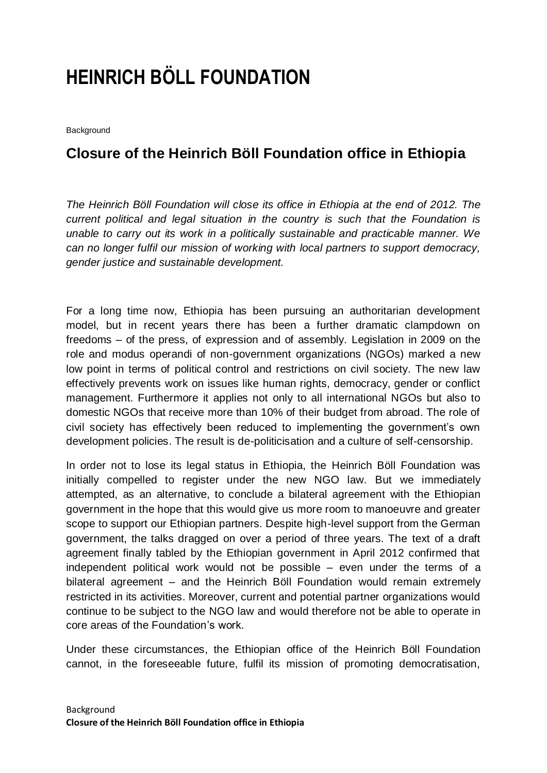# **HEINRICH BÖLL FOUNDATION**

Background

# **Closure of the Heinrich Böll Foundation office in Ethiopia**

*The Heinrich Böll Foundation will close its office in Ethiopia at the end of 2012. The current political and legal situation in the country is such that the Foundation is unable to carry out its work in a politically sustainable and practicable manner. We can no longer fulfil our mission of working with local partners to support democracy, gender justice and sustainable development.*

For a long time now, Ethiopia has been pursuing an authoritarian development model, but in recent years there has been a further dramatic clampdown on freedoms – of the press, of expression and of assembly. Legislation in 2009 on the role and modus operandi of non-government organizations (NGOs) marked a new low point in terms of political control and restrictions on civil society. The new law effectively prevents work on issues like human rights, democracy, gender or conflict management. Furthermore it applies not only to all international NGOs but also to domestic NGOs that receive more than 10% of their budget from abroad. The role of civil society has effectively been reduced to implementing the government's own development policies. The result is de-politicisation and a culture of self-censorship.

In order not to lose its legal status in Ethiopia, the Heinrich Böll Foundation was initially compelled to register under the new NGO law. But we immediately attempted, as an alternative, to conclude a bilateral agreement with the Ethiopian government in the hope that this would give us more room to manoeuvre and greater scope to support our Ethiopian partners. Despite high-level support from the German government, the talks dragged on over a period of three years. The text of a draft agreement finally tabled by the Ethiopian government in April 2012 confirmed that independent political work would not be possible – even under the terms of a bilateral agreement – and the Heinrich Böll Foundation would remain extremely restricted in its activities. Moreover, current and potential partner organizations would continue to be subject to the NGO law and would therefore not be able to operate in core areas of the Foundation's work.

Under these circumstances, the Ethiopian office of the Heinrich Böll Foundation cannot, in the foreseeable future, fulfil its mission of promoting democratisation,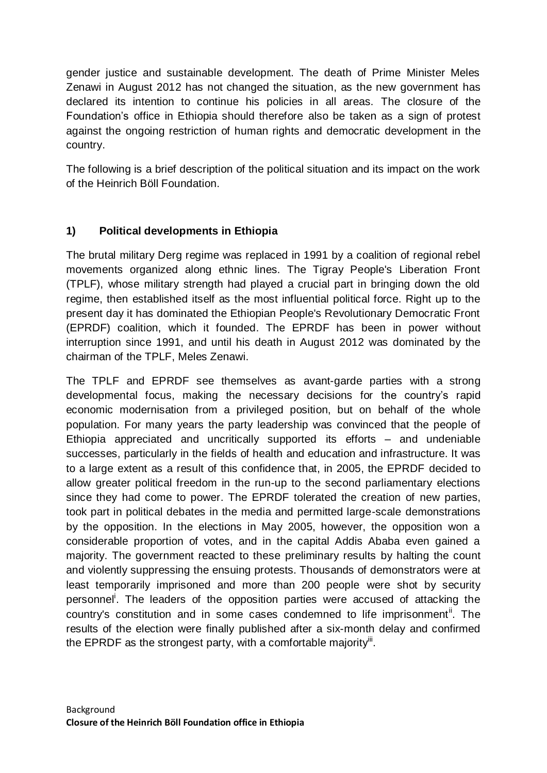gender justice and sustainable development. The death of Prime Minister Meles Zenawi in August 2012 has not changed the situation, as the new government has declared its intention to continue his policies in all areas. The closure of the Foundation's office in Ethiopia should therefore also be taken as a sign of protest against the ongoing restriction of human rights and democratic development in the country.

The following is a brief description of the political situation and its impact on the work of the Heinrich Böll Foundation.

# **1) Political developments in Ethiopia**

The brutal military Derg regime was replaced in 1991 by a coalition of regional rebel movements organized along ethnic lines. The Tigray People's Liberation Front (TPLF), whose military strength had played a crucial part in bringing down the old regime, then established itself as the most influential political force. Right up to the present day it has dominated the Ethiopian People's Revolutionary Democratic Front (EPRDF) coalition, which it founded. The EPRDF has been in power without interruption since 1991, and until his death in August 2012 was dominated by the chairman of the TPLF, Meles Zenawi.

The TPLF and EPRDF see themselves as avant-garde parties with a strong developmental focus, making the necessary decisions for the country's rapid economic modernisation from a privileged position, but on behalf of the whole population. For many years the party leadership was convinced that the people of Ethiopia appreciated and uncritically supported its efforts – and undeniable successes, particularly in the fields of health and education and infrastructure. It was to a large extent as a result of this confidence that, in 2005, the EPRDF decided to allow greater political freedom in the run-up to the second parliamentary elections since they had come to power. The EPRDF tolerated the creation of new parties, took part in political debates in the media and permitted large-scale demonstrations by the opposition. In the elections in May 2005, however, the opposition won a considerable proportion of votes, and in the capital Addis Ababa even gained a majority. The government reacted to these preliminary results by halting the count and violently suppressing the ensuing protests. Thousands of demonstrators were at least temporarily imprisoned and more than 200 people were shot by security personnel<sup>i</sup>. The leaders of the opposition parties were accused of attacking the country's constitution and in some cases condemned to life imprisonment". The results of the election were finally published after a six-month delay and confirmed the EPRDF as the strongest party, with a comfortable majority".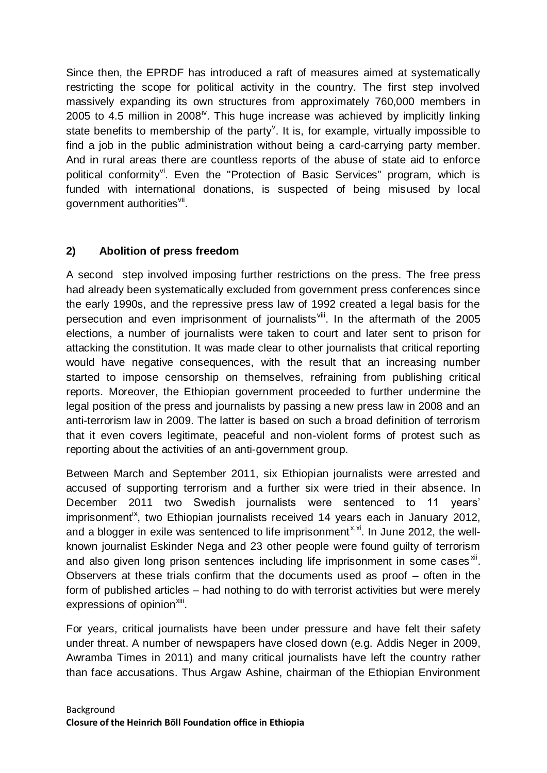Since then, the EPRDF has introduced a raft of measures aimed at systematically restricting the scope for political activity in the country. The first step involved massively expanding its own structures from approximately 760,000 members in 2005 to 4.5 million in 2008<sup>iv</sup>. This huge increase was achieved by implicitly linking state benefits to membership of the party<sup>v</sup>. It is, for example, virtually impossible to find a job in the public administration without being a card-carrying party member. And in rural areas there are countless reports of the abuse of state aid to enforce political conformity<sup>vi</sup>. Even the "Protection of Basic Services" program, which is funded with international donations, is suspected of being misused by local government authorities<sup>vii</sup>.

## **2) Abolition of press freedom**

A second step involved imposing further restrictions on the press. The free press had already been systematically excluded from government press conferences since the early 1990s, and the repressive press law of 1992 created a legal basis for the persecution and even imprisonment of journalists<sup>viii</sup>. In the aftermath of the 2005 elections, a number of journalists were taken to court and later sent to prison for attacking the constitution. It was made clear to other journalists that critical reporting would have negative consequences, with the result that an increasing number started to impose censorship on themselves, refraining from publishing critical reports. Moreover, the Ethiopian government proceeded to further undermine the legal position of the press and journalists by passing a new press law in 2008 and an anti-terrorism law in 2009. The latter is based on such a broad definition of terrorism that it even covers legitimate, peaceful and non-violent forms of protest such as reporting about the activities of an anti-government group.

Between March and September 2011, six Ethiopian journalists were arrested and accused of supporting terrorism and a further six were tried in their absence. In December 2011 two Swedish journalists were sentenced to 11 years' imprisonment<sup>ix</sup>, two Ethiopian journalists received 14 years each in January 2012, and a blogger in exile was sentenced to life imprisonment<sup> $x, x$ </sup>. In June 2012, the wellknown journalist Eskinder Nega and 23 other people were found guilty of terrorism and also given long prison sentences including life imprisonment in some cases ${}^{xi}$ . Observers at these trials confirm that the documents used as proof – often in the form of published articles – had nothing to do with terrorist activities but were merely expressions of opinion<sup>xiii</sup>.

For years, critical journalists have been under pressure and have felt their safety under threat. A number of newspapers have closed down (e.g. Addis Neger in 2009, Awramba Times in 2011) and many critical journalists have left the country rather than face accusations. Thus Argaw Ashine, chairman of the Ethiopian Environment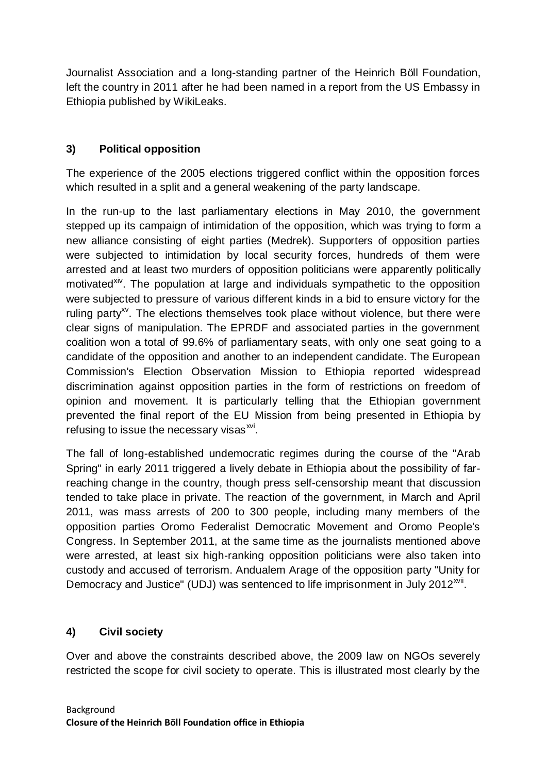Journalist Association and a long-standing partner of the Heinrich Böll Foundation, left the country in 2011 after he had been named in a report from the US Embassy in Ethiopia published by WikiLeaks.

# **3) Political opposition**

The experience of the 2005 elections triggered conflict within the opposition forces which resulted in a split and a general weakening of the party landscape.

In the run-up to the last parliamentary elections in May 2010, the government stepped up its campaign of intimidation of the opposition, which was trying to form a new alliance consisting of eight parties (Medrek). Supporters of opposition parties were subjected to intimidation by local security forces, hundreds of them were arrested and at least two murders of opposition politicians were apparently politically motivated<sup>xiv</sup>. The population at large and individuals sympathetic to the opposition were subjected to pressure of various different kinds in a bid to ensure victory for the ruling party<sup>xy</sup>. The elections themselves took place without violence, but there were clear signs of manipulation. The EPRDF and associated parties in the government coalition won a total of 99.6% of parliamentary seats, with only one seat going to a candidate of the opposition and another to an independent candidate. The European Commission's Election Observation Mission to Ethiopia reported widespread discrimination against opposition parties in the form of restrictions on freedom of opinion and movement. It is particularly telling that the Ethiopian government prevented the final report of the EU Mission from being presented in Ethiopia by refusing to issue the necessary visas<sup>xvi</sup>.

The fall of long-established undemocratic regimes during the course of the "Arab Spring" in early 2011 triggered a lively debate in Ethiopia about the possibility of farreaching change in the country, though press self-censorship meant that discussion tended to take place in private. The reaction of the government, in March and April 2011, was mass arrests of 200 to 300 people, including many members of the opposition parties Oromo Federalist Democratic Movement and Oromo People's Congress. In September 2011, at the same time as the journalists mentioned above were arrested, at least six high-ranking opposition politicians were also taken into custody and accused of terrorism. Andualem Arage of the opposition party "Unity for Democracy and Justice" (UDJ) was sentenced to life imprisonment in July 2012<sup>xvii</sup>.

# **4) Civil society**

Over and above the constraints described above, the 2009 law on NGOs severely restricted the scope for civil society to operate. This is illustrated most clearly by the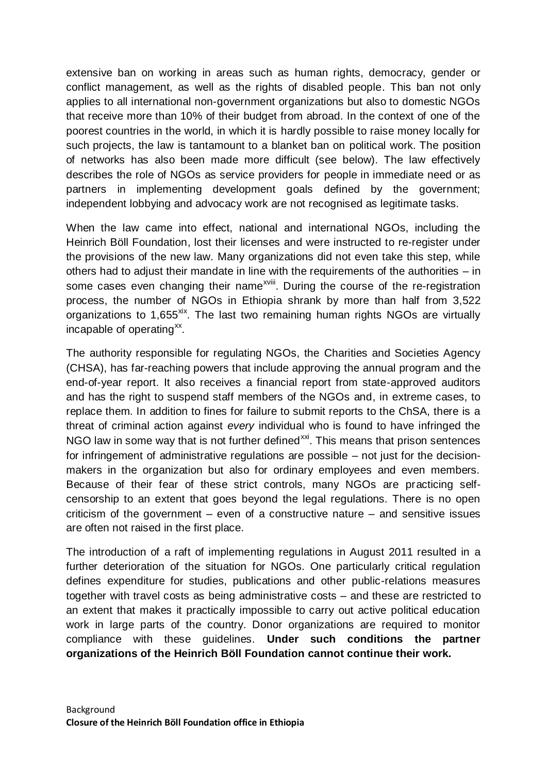extensive ban on working in areas such as human rights, democracy, gender or conflict management, as well as the rights of disabled people. This ban not only applies to all international non-government organizations but also to domestic NGOs that receive more than 10% of their budget from abroad. In the context of one of the poorest countries in the world, in which it is hardly possible to raise money locally for such projects, the law is tantamount to a blanket ban on political work. The position of networks has also been made more difficult (see below). The law effectively describes the role of NGOs as service providers for people in immediate need or as partners in implementing development goals defined by the government; independent lobbying and advocacy work are not recognised as legitimate tasks.

When the law came into effect, national and international NGOs, including the Heinrich Böll Foundation, lost their licenses and were instructed to re-register under the provisions of the new law. Many organizations did not even take this step, while others had to adjust their mandate in line with the requirements of the authorities – in some cases even changing their name<sup>xviii</sup>. During the course of the re-registration process, the number of NGOs in Ethiopia shrank by more than half from 3,522 organizations to 1,655<sup>xix</sup>. The last two remaining human rights NGOs are virtually incapable of operating<sup>xx</sup>.

The authority responsible for regulating NGOs, the Charities and Societies Agency (CHSA), has far-reaching powers that include approving the annual program and the end-of-year report. It also receives a financial report from state-approved auditors and has the right to suspend staff members of the NGOs and, in extreme cases, to replace them. In addition to fines for failure to submit reports to the ChSA, there is a threat of criminal action against *every* individual who is found to have infringed the NGO law in some way that is not further defined<sup>xxi</sup>. This means that prison sentences for infringement of administrative regulations are possible – not just for the decisionmakers in the organization but also for ordinary employees and even members. Because of their fear of these strict controls, many NGOs are practicing selfcensorship to an extent that goes beyond the legal regulations. There is no open criticism of the government – even of a constructive nature – and sensitive issues are often not raised in the first place.

The introduction of a raft of implementing regulations in August 2011 resulted in a further deterioration of the situation for NGOs. One particularly critical regulation defines expenditure for studies, publications and other public-relations measures together with travel costs as being administrative costs – and these are restricted to an extent that makes it practically impossible to carry out active political education work in large parts of the country. Donor organizations are required to monitor compliance with these guidelines. **Under such conditions the partner organizations of the Heinrich Böll Foundation cannot continue their work.**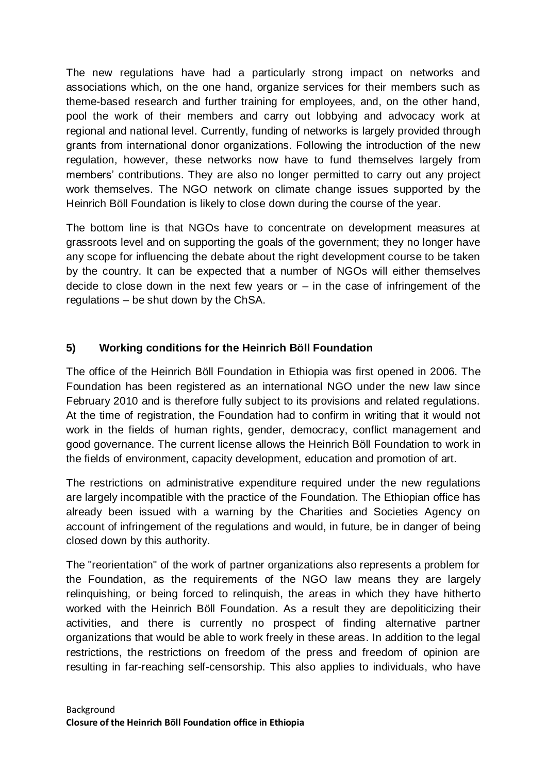The new regulations have had a particularly strong impact on networks and associations which, on the one hand, organize services for their members such as theme-based research and further training for employees, and, on the other hand, pool the work of their members and carry out lobbying and advocacy work at regional and national level. Currently, funding of networks is largely provided through grants from international donor organizations. Following the introduction of the new regulation, however, these networks now have to fund themselves largely from members' contributions. They are also no longer permitted to carry out any project work themselves. The NGO network on climate change issues supported by the Heinrich Böll Foundation is likely to close down during the course of the year.

The bottom line is that NGOs have to concentrate on development measures at grassroots level and on supporting the goals of the government; they no longer have any scope for influencing the debate about the right development course to be taken by the country. It can be expected that a number of NGOs will either themselves decide to close down in the next few years or  $-$  in the case of infringement of the regulations – be shut down by the ChSA.

# **5) Working conditions for the Heinrich Böll Foundation**

The office of the Heinrich Böll Foundation in Ethiopia was first opened in 2006. The Foundation has been registered as an international NGO under the new law since February 2010 and is therefore fully subject to its provisions and related regulations. At the time of registration, the Foundation had to confirm in writing that it would not work in the fields of human rights, gender, democracy, conflict management and good governance. The current license allows the Heinrich Böll Foundation to work in the fields of environment, capacity development, education and promotion of art.

The restrictions on administrative expenditure required under the new regulations are largely incompatible with the practice of the Foundation. The Ethiopian office has already been issued with a warning by the Charities and Societies Agency on account of infringement of the regulations and would, in future, be in danger of being closed down by this authority.

The "reorientation" of the work of partner organizations also represents a problem for the Foundation, as the requirements of the NGO law means they are largely relinquishing, or being forced to relinquish, the areas in which they have hitherto worked with the Heinrich Böll Foundation. As a result they are depoliticizing their activities, and there is currently no prospect of finding alternative partner organizations that would be able to work freely in these areas. In addition to the legal restrictions, the restrictions on freedom of the press and freedom of opinion are resulting in far-reaching self-censorship. This also applies to individuals, who have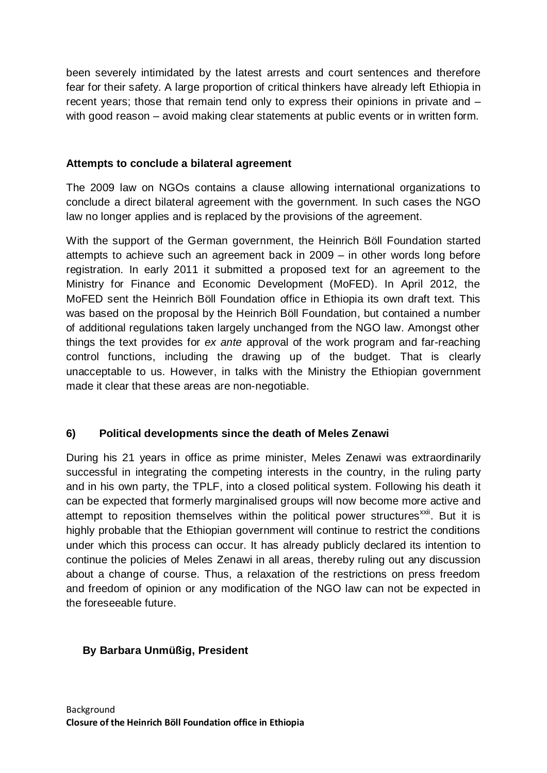been severely intimidated by the latest arrests and court sentences and therefore fear for their safety. A large proportion of critical thinkers have already left Ethiopia in recent years; those that remain tend only to express their opinions in private and – with good reason – avoid making clear statements at public events or in written form.

#### **Attempts to conclude a bilateral agreement**

The 2009 law on NGOs contains a clause allowing international organizations to conclude a direct bilateral agreement with the government. In such cases the NGO law no longer applies and is replaced by the provisions of the agreement.

With the support of the German government, the Heinrich Böll Foundation started attempts to achieve such an agreement back in 2009 – in other words long before registration. In early 2011 it submitted a proposed text for an agreement to the Ministry for Finance and Economic Development (MoFED). In April 2012, the MoFED sent the Heinrich Böll Foundation office in Ethiopia its own draft text. This was based on the proposal by the Heinrich Böll Foundation, but contained a number of additional regulations taken largely unchanged from the NGO law. Amongst other things the text provides for *ex ante* approval of the work program and far-reaching control functions, including the drawing up of the budget. That is clearly unacceptable to us. However, in talks with the Ministry the Ethiopian government made it clear that these areas are non-negotiable.

## **6) Political developments since the death of Meles Zenawi**

During his 21 years in office as prime minister, Meles Zenawi was extraordinarily successful in integrating the competing interests in the country, in the ruling party and in his own party, the TPLF, into a closed political system. Following his death it can be expected that formerly marginalised groups will now become more active and attempt to reposition themselves within the political power structures<sup>xxii</sup>. But it is highly probable that the Ethiopian government will continue to restrict the conditions under which this process can occur. It has already publicly declared its intention to continue the policies of Meles Zenawi in all areas, thereby ruling out any discussion about a change of course. Thus, a relaxation of the restrictions on press freedom and freedom of opinion or any modification of the NGO law can not be expected in the foreseeable future.

## **By Barbara Unmüßig, President**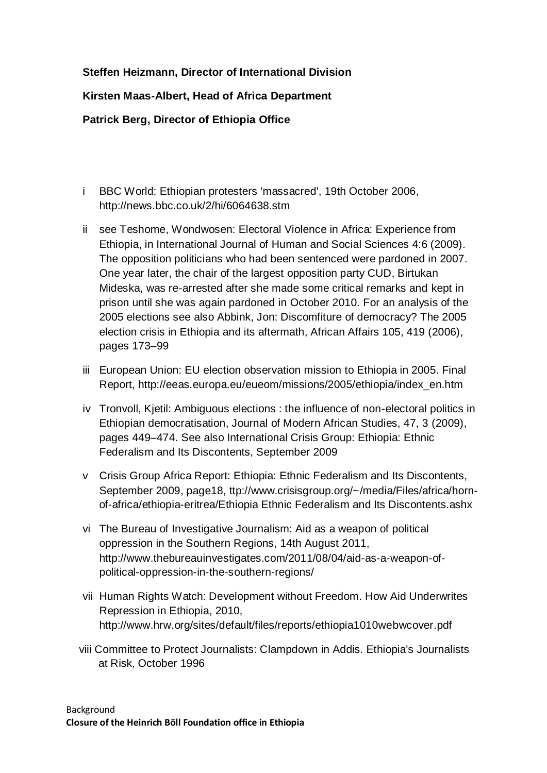#### **Steffen Heizmann, Director of International Division**

#### **Kirsten Maas-Albert, Head of Africa Department**

**Patrick Berg, Director of Ethiopia Office** 

- i BBC World: Ethiopian protesters 'massacred', 19th October 2006, http://news.bbc.co.uk/2/hi/6064638.stm
- ii see Teshome, Wondwosen: Electoral Violence in Africa: Experience from Ethiopia, in International Journal of Human and Social Sciences 4:6 (2009). The opposition politicians who had been sentenced were pardoned in 2007. One year later, the chair of the largest opposition party CUD, Birtukan Mideska, was re-arrested after she made some critical remarks and kept in prison until she was again pardoned in October 2010. For an analysis of the 2005 elections see also Abbink, Jon: Discomfiture of democracy? The 2005 election crisis in Ethiopia and its aftermath, African Affairs 105, 419 (2006), pages 173–99
- iii European Union: EU election observation mission to Ethiopia in 2005. Final Report, http://eeas.europa.eu/eueom/missions/2005/ethiopia/index\_en.htm
- iv Tronvoll, Kjetil: Ambiguous elections : the influence of non-electoral politics in Ethiopian democratisation, Journal of Modern African Studies, 47, 3 (2009), pages 449–474. See also International Crisis Group: Ethiopia: Ethnic Federalism and Its Discontents, September 2009
- v Crisis Group Africa Report: Ethiopia: Ethnic Federalism and Its Discontents, September 2009, page18, ttp://www.crisisgroup.org/~/media/Files/africa/hornof-africa/ethiopia-eritrea/Ethiopia Ethnic Federalism and Its Discontents.ashx
- vi The Bureau of Investigative Journalism: Aid as a weapon of political oppression in the Southern Regions, 14th August 2011, http://www.thebureauinvestigates.com/2011/08/04/aid-as-a-weapon-ofpolitical-oppression-in-the-southern-regions/
- vii Human Rights Watch: Development without Freedom. How Aid Underwrites Repression in Ethiopia, 2010, http://www.hrw.org/sites/default/files/reports/ethiopia1010webwcover.pdf
- viii Committee to Protect Journalists: Clampdown in Addis. Ethiopia's Journalists at Risk, October 1996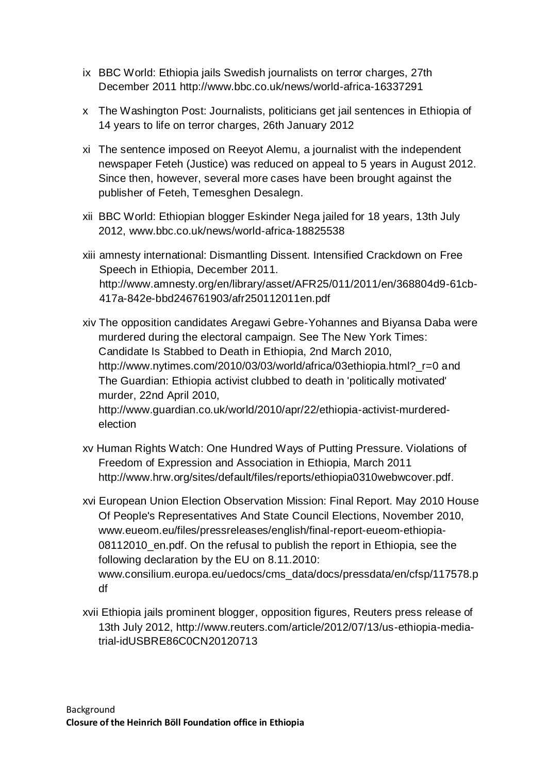- ix BBC World: Ethiopia jails Swedish journalists on terror charges, 27th December 2011 http://www.bbc.co.uk/news/world-africa-16337291
- x The Washington Post: Journalists, politicians get jail sentences in Ethiopia of 14 years to life on terror charges, 26th January 2012
- xi The sentence imposed on Reeyot Alemu, a journalist with the independent newspaper Feteh (Justice) was reduced on appeal to 5 years in August 2012. Since then, however, several more cases have been brought against the publisher of Feteh, Temesghen Desalegn.
- xii BBC World: Ethiopian blogger Eskinder Nega jailed for 18 years, 13th July 2012, www.bbc.co.uk/news/world-africa-18825538
- xiii amnesty international: Dismantling Dissent. Intensified Crackdown on Free Speech in Ethiopia, December 2011. http://www.amnesty.org/en/library/asset/AFR25/011/2011/en/368804d9-61cb-417a-842e-bbd246761903/afr250112011en.pdf
- xiv The opposition candidates Aregawi Gebre-Yohannes and Biyansa Daba were murdered during the electoral campaign. See The New York Times: Candidate Is Stabbed to Death in Ethiopia, 2nd March 2010, http://www.nytimes.com/2010/03/03/world/africa/03ethiopia.html?\_r=0 and The Guardian: Ethiopia activist clubbed to death in 'politically motivated' murder, 22nd April 2010, http://www.guardian.co.uk/world/2010/apr/22/ethiopia-activist-murdered-

election

- xv Human Rights Watch: One Hundred Ways of Putting Pressure. Violations of Freedom of Expression and Association in Ethiopia, March 2011 http://www.hrw.org/sites/default/files/reports/ethiopia0310webwcover.pdf.
- xvi European Union Election Observation Mission: Final Report. May 2010 House Of People's Representatives And State Council Elections, November 2010, www.eueom.eu/files/pressreleases/english/final-report-eueom-ethiopia-08112010\_en.pdf. On the refusal to publish the report in Ethiopia, see the following declaration by the EU on 8.11.2010: www.consilium.europa.eu/uedocs/cms\_data/docs/pressdata/en/cfsp/117578.p df
- xvii Ethiopia jails prominent blogger, opposition figures, Reuters press release of 13th July 2012, http://www.reuters.com/article/2012/07/13/us-ethiopia-mediatrial-idUSBRE86C0CN20120713